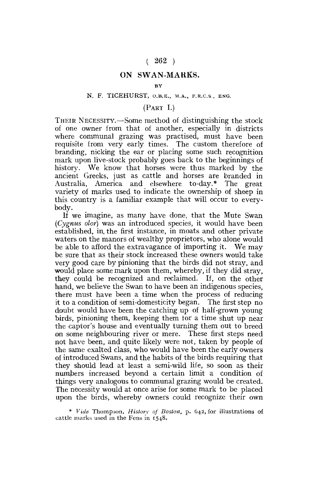# $(262)$

# ON SWAN-MARKS.

#### **BY**

#### N. F, TICEHURST, O.B.B., M.A., F.R.C.S., ENG.

## (PART I.)

THEIR NECESSITY.—Some method of distinguishing the stock of one owner from that of another, especially in districts where communal grazing was practised, must have been requisite from very early times. The custom therefore of branding, nicking the ear or placing some such recognition mark upon live-stock probably goes back to the beginnings of history. We know that horses were thus marked by the ancient Greeks, just as cattle and horses are branded in Australia, America and elsewhere to-day.\* The great variety of marks used to indicate the ownership of sheep in this country is a familiar example that will occur to everybody.

If we imagine, as many have done, that the Mute Swan *(Cygnus olor)* was an introduced species, it would have been established, in, the first instance, in moats and other private waters on the manors of wealthy proprietors, who alone would be able to afford the extravagance of importing it. We may be sure that as their stock increased these owners would take very good care by pinioning that the birds did not stray, and would place some mark upon them, whereby, if they did stray, they could be recognized and reclaimed. If, on the other hand, we believe the Swan to have been an indigenous species. there must have been a time when the process of reducing it to a condition of semi-domesticity began. The first step no doubt would have been the catching up of half-grown young birds, pinioning them, keeping them for a time shut up near the captor's house and eventually turning them out to breed on some neighbouring river or mere. These first steps need not have been, and quite likely were not, taken by people of the same exalted class, who would have been the early owners of introduced Swans, and the habits of the birds requiring that they should lead at least a semi-wild life, so soon as their numbers increased beyond a certain limit a condition of things very analogous to communal grazing would be created. The necessity would at once arise for some mark to be placed upon the birds, whereby owners could recognize their own

\* *Vide* Thompson, *History of Boston,* p. 642, for illustrations of cattle marks used in the Fens in 1548.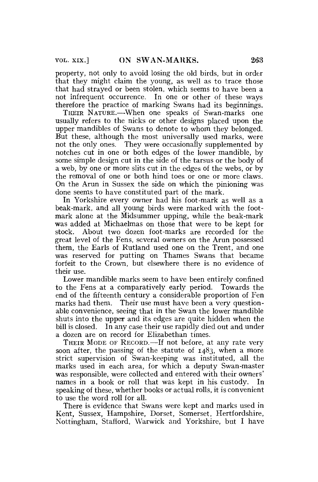property, not only to avoid losing the old birds, but in order that they might claim the young, as well as to trace those that had strayed or been stolen, which seems to have been a not infrequent occurrence. In one or other of these ways therefore the practice of marking Swans had its beginnings.

THEIR NATURE.—When one speaks of Swan-marks one usually refers to the nicks or other designs placed upon the upper mandibles of Swans to denote to whom they belonged. But these, although the most universally used marks, were not the only ones. They were occasionally supplemented by notches cut in one or both edges of the lower mandible, by some simple design cut in the side of the tarsus or the body of a web, by one or more slits cut in the edges of the webs, or by the removal of one or both hind toes or one or more claws. On the Arun in Sussex the side on which the pinioning was done seems to have constituted part of the mark.

In Yorkshire every owner had his foot-mark as well as a beak-mark, and all young birds were marked with the footmark alone at the Midsummer upping, while the beak-mark was added at Michaelmas on those that were to be kept for stock. About two dozen foot-marks are recorded for the great level of the Fens, several owners on the Arun possessed them, the Earls of Rutland used one on the Trent, and one was reserved for putting on Thames Swans that became forfeit to the Crown, but elsewhere there is no evidence of their use.

Lower mandible marks seem to have been entirely confined to the Fens at a comparatively early period. Towards the end of the fifteenth century a considerable proportion of Fen marks had them. Their use must have been a very questionable convenience, seeing that in the Swan the lower mandible shuts into the upper and its edges are quite hidden when the bill is closed. In any case their use rapidly died out and under a dozen are on record for Elizabethan times.

THEIR MODE OF RECORD.—If not before, at any rate very soon after, the passing of the statute of 1483, when a more strict supervision of Swan-keeping was instituted, all the marks used in each area, for which a deputy Swan-master was responsible, were collected and entered with their owners' names in a book or roll that was kept in his custody. In speaking of these, whether books or actual rolls, it is convenient to use the word roll for all.

There is evidence that Swans were kept and marks used in Kent, Sussex, Hampshire, Dorset, Somerset, Hertfordshire, Nottingham, Stafford, Warwick and Yorkshire, but I have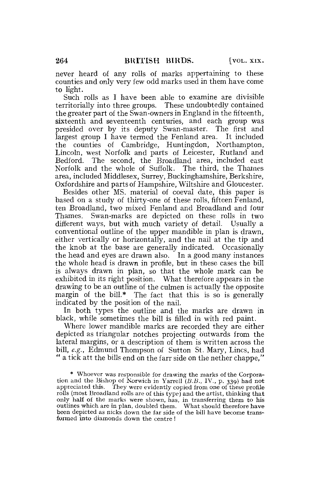never heard of any rolls of marks appertaining to these counties and only very few odd marks used in them have come to light.

Such rolls as I have been able to examine are divisible territorially into three groups. These undoubtedly contained the greater part of the Swan-owners in England in the fifteenth, sixteenth and seventeenth centuries, and each group was presided over by its deputy Swan-master. The first and largest group I have termed the Fenland area. It included the counties of Cambridge, Huntingdon, Northampton, Lincoln, west Norfolk and parts of Leicester, Rutland and Bedford. The second, the Broadland area, included east Norfolk and the whole of Suffolk. The third, the Thames area, included Middlesex, Surrey, Buckinghamshire, Berkshire, Oxfordshire and parts of Hampshire, Wiltshire and Gloucester.

Besides other MS. material of coeval date, this paper is based on a study of thirty-one of these rolls, fifteen Fenland, ten Broadland, two mixed Fenland and Broadland and four Thames. Swan-marks are depicted on these rolls in two different ways, but with much variety of detail. Usually a conventional outline of the upper mandible in plan is drawn, either vertically or horizontally, and the nail at the tip and the knob at the base are generally indicated. Occasionally the head and eyes are drawn also. In a good many instances the whole head is drawn in profile, but in these cases the bill is always drawn in plan, so that the whole mark can be exhibited in its right position. What therefore appears in the drawing to be an outline of the culmen is actually the opposite margin of the bill.\* The fact that this is so is generally indicated by the position of the nail.

In both types the outline and the marks are drawn in black, while sometimes the bill is filled in with red paint.

Where lower mandible marks are recorded they are either depicted as triangular notches projecting outwards from the lateral margins, or a description of them is written across the bill, e.g., Edmund Thompson of Sutton St. Mary, Lines, had " a tick att the bills end on the farr side on the nether chappe,"

\* Whoever was responsible for drawing the marks of the Corporation and the Bishop of Norwich in Yarrell<sup> $(L, B, I, V, p, 339)$  had not</sup> appreciated this. They were evidently copied from one of these profile rolls (most Broadland rolls are of this type) and the artist, thinking that only half of the marks were shown, has, in transferring them to his outlines which are in plan, doubled them. What should therefore have been depicted as nicks down the far side of the bill have become transformed into diamonds down the centre !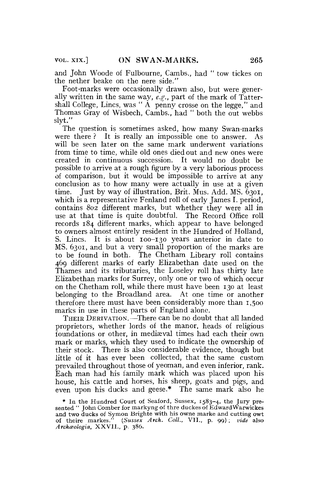and John Woode of Fulbourne, Cambs., had " tow tickes on the nether beake on the nere side."

Foot-marks were occasionally drawn also, but were generally written in the same way, *e.g.,* part of the mark of Tattershall College, Lincs, was " $\AA$  penny crosse on the legge," and Thomas Gray of Wisbech, Cambs., had " both the out webbs slvt."

The question is sometimes asked, how many Swan-marks were there  $\ell$ . It is really an impossible one to answer. will be seen later on the same mark underwent variations from time to time, while old ones died out and new ones were created in continuous succession. It would no doubt be possible to arrive at a rough figure by a very laborious process of comparison, but it would be impossible to arrive at any conclusion as to how many were actually in use at a given time. Just by way of illustration, Brit. Mus. Add. MS. 6301, which is a representative Fenland roll of early James I. period, contains 802 different marks, but whether they were all in use at that time is quite doubtful. The Record Office roll records 184 different marks, which appear to have belonged to owners almost entirely resident in the Hundred of Holland, S. Lines. It is about 100-130 years anterior in date to MS. 6301, and but a very small proportion of the marks are to be found in both. The Chetham Library roll contains 469 different marks of early Elizabethan date used on the Thames and its tributaries, the Loseley roll has thirty late Elizabethan marks for Surrey, only one or two of which occur on the Chetham roll, while there must have been 130 at least belonging to the Broadland area. At one time or another therefore there must have been considerably more than 1,500 marks in use in these parts of England alone.

THEIR DERIVATION.—There can be no doubt that all landed proprietors, whether lords of the manor, heads of religious foundations or other, in mediaeval times had each their own mark or marks, which they used to indicate the ownership of their stock. There is also considerable evidence, though but little of it has ever been collected, that the same custom prevailed throughout those of yeoman, and even inferior, rank. Each man had his family mark which was placed upon his house, his cattle and horses, his sheep, goats and pigs, and even upon his ducks and geese.\* The same mark also he

<sup>\*</sup> In the Hundred Court of Seaford, Sussex, 1583-4, the Jury pre-sented " John Comber for markyng of thre duckes of EdwardWarwickes and two ducks of Symon Brighte with his owne marke and cutting owt of theire markes." *(Sussex Arch. Coll.,* VII., p. 99) ; *vide* also *Archatologia,* XXVII., p. 386.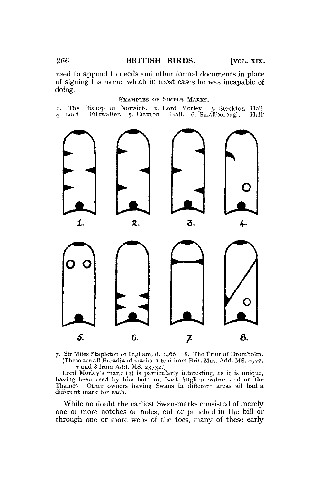## 266 BRITISH BIRDS. [VOL. XIX.

used to append to deeds and other formal documents in place of signing his name, which in most cases he was incapable of doing.

EXAMPLES OF SIMPLE MARKS.

I. The Bishop of Norwich. 2. Lord Morley. 3. Stockton Hall. Fitzwalter. 5. Claxton Hall. 6. Smallborough.





7. Sir Miles Stapleton of Ingham, d. 1466. 8. The Prior of Bromholm. (These are all Broadland marks,  $\overline{1}$  to 6 from Brit. Mus. Add. MS. 4977, 7 and 8 from Add. MS. 23732.)

Lord Morley's mark (2) is particularly interesting, as it is unique, having been used by him both on East Anglian waters and on the Thames. Other owners having Swans in different areas all had a different mark for each.

While no doubt the earliest Swan-marks consisted of merely one or more notches or holes, cut or punched in the bill or through one or more webs of the toes, many of these early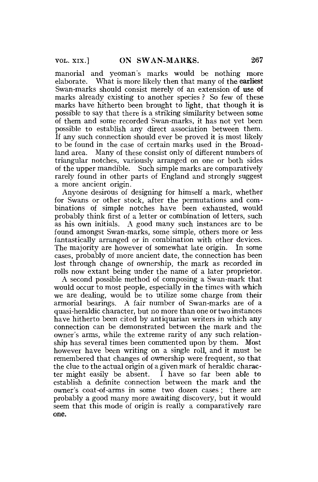manorial and yeoman's marks would be nothing more elaborate. What is more likely then that many of **the earliest**  Swan-marks should consist merely of an extension of **use** of marks already existing to another species ? So few of these marks have hitherto been brought to light, that though it is possible to say that there is a striking similarity between some of them and some recorded Swan-marks, it has not yet been possible to establish any direct association between them. If any such connection should ever be proved it is most likely to be found in the case of certain marks used in the Broadland area. Many of these consist only of different numbers of triangular notches, variously arranged on one or both sides of the upper mandible. Such simple marks are comparatively rarely found in other parts of England and strongly suggest a more ancient origin.

Anyone desirous of designing for himself a mark, whether for Swans or other stock, after the permutations and combinations of simple notches have been exhausted, would probably think first of a letter or combination of letters, such as his own initials. A good many such instances are to be found amongst Swan-marks, some simple, others more or less fantastically arranged or in combination with other devices. The majority are however of somewhat late origin. In some cases, probably of more ancient date, the connection has been lost through change of ownership, the mark as recorded in rolls now extant being under the name of a later proprietor.

A second possible method of composing a Swan-mark that would occur to most people, especially in the times with which we are dealing, would be to utilize some charge from **their**  armorial bearings. A fair number of Swan-marks are of a quasi-heraldic character, but no more than one or two instances have hitherto been cited by antiquarian writers in which any connection can be demonstrated between the mark and the owner's arms, while the extreme rarity of any such relationship has several times been commented upon by them. Most however have been writing on a single roll, and it must be remembered that changes of ownership were frequent, so that the clue to the actual origin of a given mark of heraldic character might easily be absent. I have so far been able to establish a definite connection between the mark and the owner's coat-of-arms in some two dozen cases; there are probably a good many more awaiting discovery, but it would seem that this mode of origin is really a comparatively rare **one.**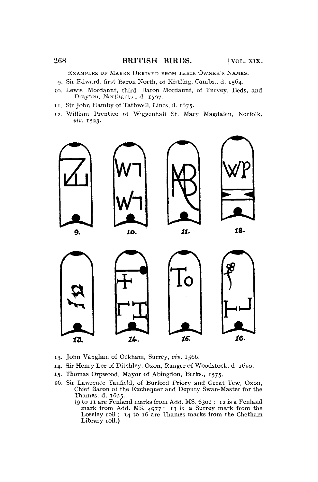## 268 BRITISH BIRDS. [VOL. XIX.

EXAMPLES OF MARKS DERIVED FROM THEIR OWNER'S NAMES.

- *g.* Sir Edward, first Baron North, of Kirtling, Cambs., d. 1564.
- 10. Lewis Mordaunt, third Baron Mordaunt, of Turvey, Beds, and Drayton, Northants., d. 1597.
- 11. Sir John Hamby of Tathwell, Lines, d. 1675.
- 12. William Prentice of Wiggenhall St. Mary Magdalen, Norfolk, *viv.* 1523.



- 13. John Vaughan of Ockham, Surrey, *viv.* 1566.
- 14. Sir Henry Lee of Ditchley, Oxon, Ranger of Woodstock, d. 1610.
- 15. Thomas Orpwood, Mayor of Abingdon, Berks., 1575.
- 16. Sir Lawrence Tanfield, of Burford Priory and Great Tew, Oxon, Chief Baron of the Exchequer and Deputy Swan-Master for the Thames, d. 1625.
	- (9 to 11 are Fenland marks from Add. MS. 6301 ; 12 is a Fenland mark from Add. MS. 4977 ; 13 is a Surrey mark from the Loseley roll; 14 to 16 are Thames marks from the Chetham Library roll.)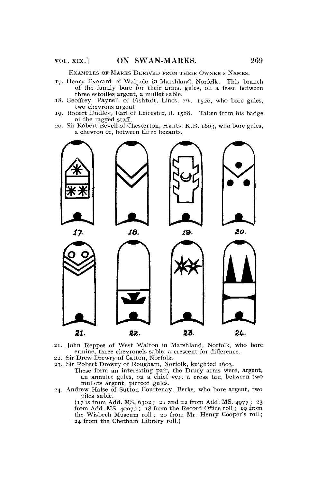EXAMPLES OF MARKS DERIVED FROM THEIR OWNER S NAMES.

- 17. Henry Everard of Walpole in Marshland, Norfolk. This branch of the family bore for their arms, gules, on a fesse between three estoilles argent, a mullet sable.
- 18. Geoffrey Paynell of Fishtoft, Lincs, viv. 1520, who bore gules, two chevrons argent.
- 19. Robert Dudley, Earl of Leicester, d. 1588. Taken from his badge of the ragged staff.
- 20. Sir Robert Bevell of Chesterton, Hunts, K.B. 1603, who bore gules, a chevron or, between three bezants.



- 21. John Reppes of West Walton in Marshland, Norfolk, who bore ermine, three chevronels sable, a crescent for difference.
- 22. Sir Drew Drewry of Catton, Norfolk.
- 23. Sir Robert Drewry of Rougham, Norfolk, knighted 1603.
	- These form an interesting pair, the Drury arms were, argent, an annulet gules, on a chief vert a cross tau, between **two**  mullets argent, pierced gules.
- 24. Andrew Halse of Sutton Courtenay, Berks, who bore argent, two piles sable.

(17 is from Add. MS. 6302 ; 21 and 22 from Add. MS. 4977 ; 23 from Add. MS. 40072 ; 18 from the Record Office roll; 19 from the Wisbech Museum roll; 20 from Mr. Henry Cooper's roll; 24 from the Chetham Library roll.)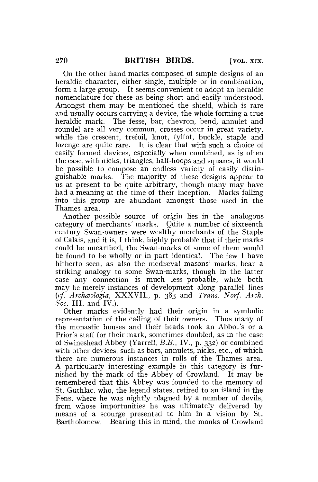On the other hand marks composed of simple designs of an heraldic character, either single, multiple or in combination, form a large group. It seems convenient to adopt an heraldic nomenclature for these as being short and easily understood. Amongst them may be mentioned the shield, which is rare and usually occurs carrying a device, the whole forming a true heraldic mark. The fesse, bar, chevron, bend, annulet and roundel are all very common, crosses occur in great variety, while the crescent, trefoil, knot, fylfot, buckle, staple and lozenge are quite rare. It is clear that with such a choice of easily formed devices, especially when combined, as is often the case, with nicks, triangles, half-hoops and squares, it would be possible to compose an endless variety of easily distinguishable marks. The majority of these designs appear to us at present to be quite arbitrary, though many may have had a meaning at the time of their inception. Marks falling into this group are abundant amongst those used in the Thames area.

Another possible source of origin lies in the analogous category of merchants' marks. Quite a number of sixteenth century Swan-owners were wealthy merchants of the Staple of Calais, and it is, I think, highly probable that if their marks could be unearthed, the Swan-marks of some of them would be found to be wholly or in part identical. The few I have hitherto seen, as also the mediæval masons' marks, bear a striking analogy to some Swan-marks, though in the latter case any connection is much less probable, while both may be merely instances of development along parallel lines *(cf. Archceologia,* XXXVII., p. 383 and *Trans. Norf. Arch. Soc.* III. and IV.).

Other marks evidently had their origin in a symbolic representation of the calling of their owners. Thus many of the monastic houses and their heads took an Abbot's or a Prior's staff for their mark, sometimes doubled, as in the case of Swineshead Abbey (Yarrell, *B.B.,* IV., p. 332) or combined with other devices, such as bars, annulets, nicks, etc., of which there are numerous instances in rolls of the Thames area. A particularly interesting example in this category is furnished by the mark of the Abbey of Crowland. It may be remembered that this Abbey was founded to the memory of St. Guthlac, who, the legend states, retired to an island in the Fens, where he was nightly plagued by a number of devils, from whose importunities he was ultimately delivered by means of a scourge presented to him in a vision by St. Bartholomew. Bearing this in mind, the monks of Crowland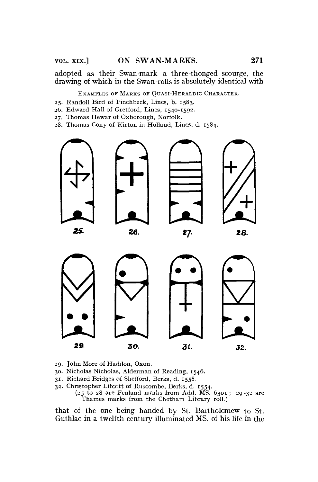adopted as their Swan-mark a three-thonged scourge, the drawing of which in the Swan-rolls is absolutely identical with

EXAMPLES OF MARKS OF QUASI-HERALDIC CHARACTER.

- 25. Randoll Bird of Pinchbeck, Lines, b. 1583.
- 26. Edward Hall of Gretlord, Lines, 1540-1592.
- 27. Thomas Hewar of Oxborough, Norfolk.
- 28. Thomas Cony of Kirton in Holland, Lines, d. 1584.



- 29. John More of Haddon, Oxon.
- 30. Nicholas Nicholas, Alderman of Reading, 1546.
- 31. Richard Bridges of Shefford, Berks, d. 1558.
- 32. Christopher Litcctt of Ruscombe, Berks, d. 1554.
	- (25 to 28 are Fenland marks from Add.  $\widetilde{MS}$ . 6301; 29-32 are Thames marks from the Chetham Library roll.)

that of the one being handed by St. Bartholomew to St. Guthlac in a twelfth century illuminated MS. of his life in the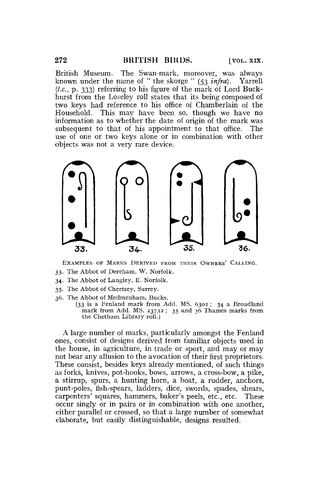British Museum. The Swan-mark, moreover, was always known under the name of " the skorge " (53 *infra).* Yarrell *(t.c,* p. 333) referring to his figure of the mark of Lord Buckhurst from the Loseley roll states that its being composed of two keys had reference to his office of Chamberlain of the Household. This may have been so, though we have no information as to whether the date of origin of the mark was subsequent to that of his appointment to that office. The use of one or two keys alone or in combination with other objects was not a very rare device.



EXAMPLES OF MARKS DERIVED FROM THEIR OWNERS' CALLING. 33. The Abbot of Dereham, W. Norfolk.

- 34. The Abbot of Langley, E. Norfolk.
- 
- 35. The Abbot of Chertsey, Surrey.
- 36. The Abbot of Medmenham, Bucks. (33 is a Fenland mark from Add. MS. 6302 ; 34 a Broadland
	- mark from Add. MS. 23732 ; 35 and 36 Thames marks from the Chetham Library roll.)

A large number of marks, particularly amongst the Fenland ones, consist of designs derived from familiar objects used in the house, in agriculture, in trade or sport, and may or may not bear any allusion to the avocation of their first proprietors. These consist, besides keys already mentioned, of such things as forks, knives, pot-hooks, bows, arrows, a cross-bow, a pike, a stirrup, spurs, a hunting horn, a boat, a rudder, anchors, punt-poles, fish-spears, ladders, dice, swords, spades, shears, carpenters' squares, hammers, baker's peels, etc., etc. These occur singly or in pairs or in combination with one another, either parallel or crossed, so that a large number of somewhat elaborate, but easily distinguishable, designs resulted.